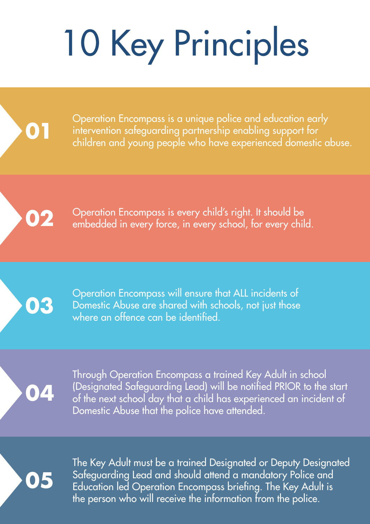## 10 Key Principles



Operation Encompass is a unique police and education early intervention safeguarding partnership enabling support for children and young people who have experienced domestic abuse.

**02**

Operation Encompass is every child's right. It should be embedded in every force, in every school, for every child.



Operation Encompass will ensure that ALL incidents of Domestic Abuse are shared with schools, not just those where an offence can be identified.

**04**

Through Operation Encompass a trained Key Adult in school (Designated Safeguarding Lead) will be notified PRIOR to the start of the next school day that a child has experienced an incident of Domestic Abuse that the police have attended.

**05**

The Key Adult must be a trained Designated or Deputy Designated Safeguarding Lead and should attend a mandatory Police and Education led Operation Encompass briefing. The Key Adult is the person who will receive the information from the police.